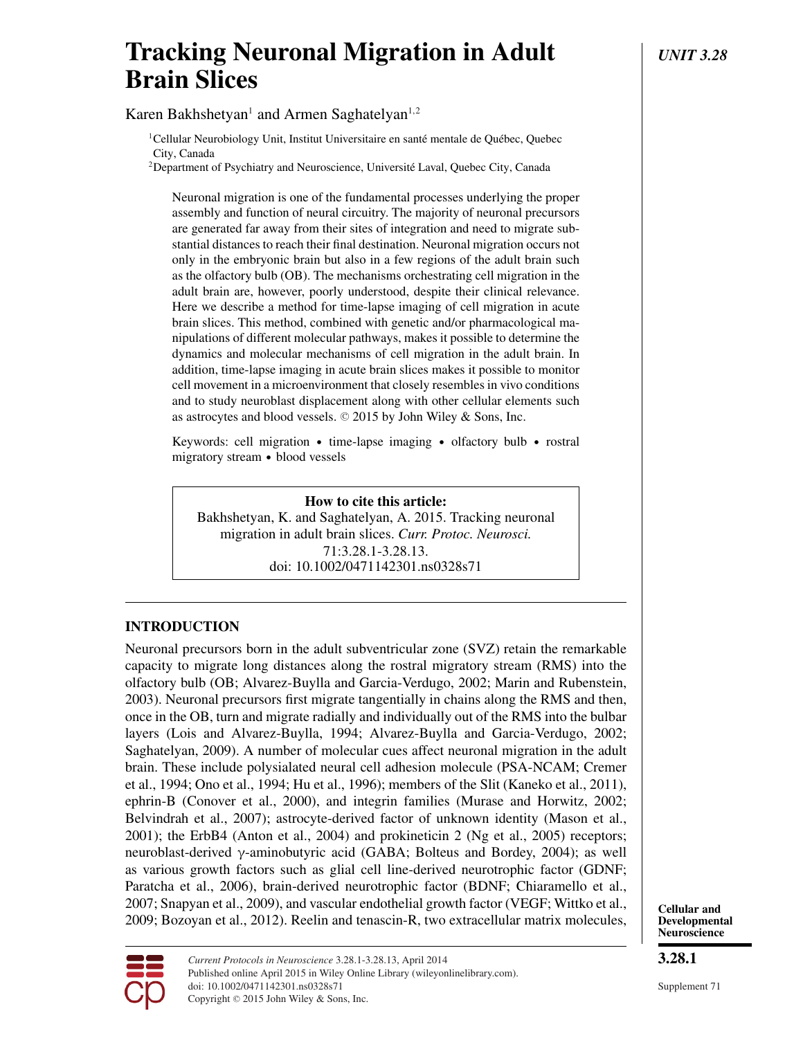# **Tracking Neuronal Migration in Adult** *UNIT 3.28* **Brain Slices**

Karen Bakhshetyan<sup>1</sup> and Armen Saghatelyan<sup>1,2</sup>

 $1$ Cellular Neurobiology Unit, Institut Universitaire en santé mentale de Québec, Quebec City, Canada

<sup>2</sup>Department of Psychiatry and Neuroscience, Université Laval, Quebec City, Canada

Neuronal migration is one of the fundamental processes underlying the proper assembly and function of neural circuitry. The majority of neuronal precursors are generated far away from their sites of integration and need to migrate substantial distances to reach their final destination. Neuronal migration occurs not only in the embryonic brain but also in a few regions of the adult brain such as the olfactory bulb (OB). The mechanisms orchestrating cell migration in the adult brain are, however, poorly understood, despite their clinical relevance. Here we describe a method for time-lapse imaging of cell migration in acute brain slices. This method, combined with genetic and/or pharmacological manipulations of different molecular pathways, makes it possible to determine the dynamics and molecular mechanisms of cell migration in the adult brain. In addition, time-lapse imaging in acute brain slices makes it possible to monitor cell movement in a microenvironment that closely resembles in vivo conditions and to study neuroblast displacement along with other cellular elements such as astrocytes and blood vessels.  $\odot$  2015 by John Wiley & Sons, Inc.

Keywords: cell migration • time-lapse imaging • olfactory bulb • rostral migratory stream - blood vessels

## **How to cite this article:**

Bakhshetyan, K. and Saghatelyan, A. 2015. Tracking neuronal migration in adult brain slices. *Curr. Protoc. Neurosci.* 71:3.28.1-3.28.13. doi: 10.1002/0471142301.ns0328s71

## **INTRODUCTION**

Neuronal precursors born in the adult subventricular zone (SVZ) retain the remarkable capacity to migrate long distances along the rostral migratory stream (RMS) into the olfactory bulb (OB; Alvarez-Buylla and Garcia-Verdugo, 2002; Marin and Rubenstein, 2003). Neuronal precursors first migrate tangentially in chains along the RMS and then, once in the OB, turn and migrate radially and individually out of the RMS into the bulbar layers (Lois and Alvarez-Buylla, 1994; Alvarez-Buylla and Garcia-Verdugo, 2002; Saghatelyan, 2009). A number of molecular cues affect neuronal migration in the adult brain. These include polysialated neural cell adhesion molecule (PSA-NCAM; Cremer et al., 1994; Ono et al., 1994; Hu et al., 1996); members of the Slit (Kaneko et al., 2011), ephrin-B (Conover et al., 2000), and integrin families (Murase and Horwitz, 2002; Belvindrah et al., 2007); astrocyte-derived factor of unknown identity (Mason et al., 2001); the ErbB4 (Anton et al., 2004) and prokineticin 2 (Ng et al., 2005) receptors; neuroblast-derived γ-aminobutyric acid (GABA; Bolteus and Bordey, 2004); as well as various growth factors such as glial cell line-derived neurotrophic factor (GDNF; Paratcha et al., 2006), brain-derived neurotrophic factor (BDNF; Chiaramello et al., 2007; Snapyan et al., 2009), and vascular endothelial growth factor (VEGF; Wittko et al., 2009; Bozoyan et al., 2012). Reelin and tenascin-R, two extracellular matrix molecules,





Published online April 2015 in Wiley Online Library (wileyonlinelibrary.com). doi: 10.1002/0471142301.ns0328s71 Copyright © 2015 John Wiley & Sons, Inc.

*Current Protocols in Neuroscience* 3.28.1-3.28.13, April 2014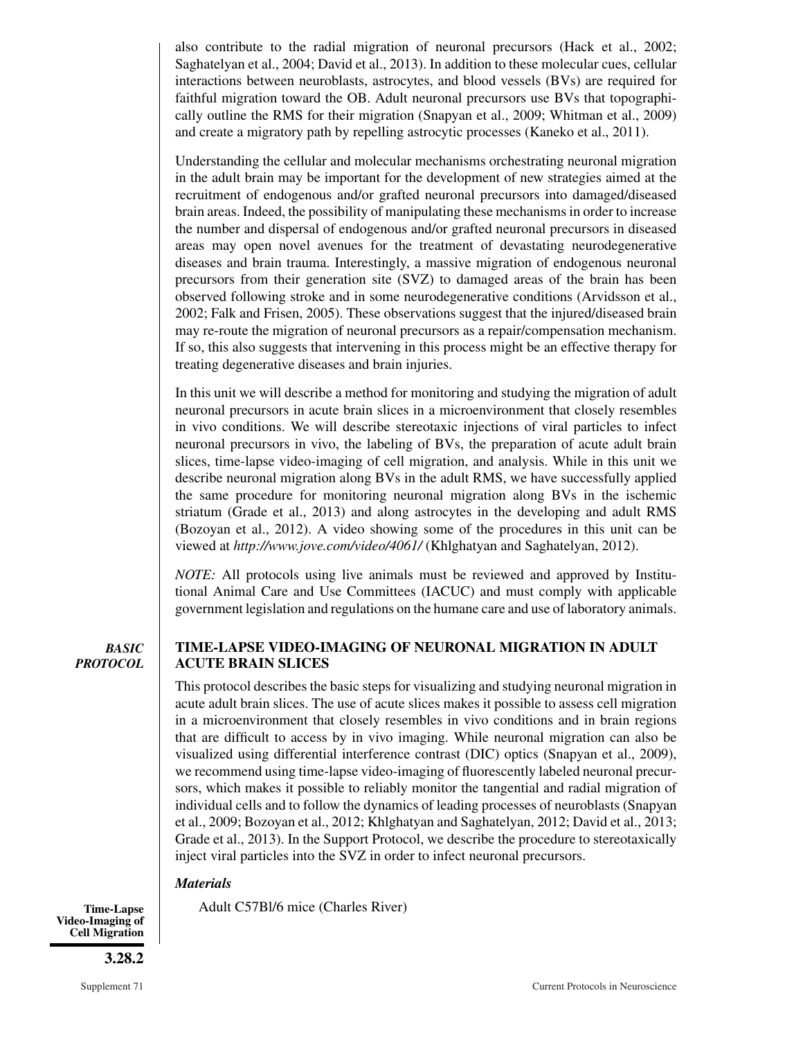also contribute to the radial migration of neuronal precursors (Hack et al., 2002; Saghatelyan et al., 2004; David et al., 2013). In addition to these molecular cues, cellular interactions between neuroblasts, astrocytes, and blood vessels (BVs) are required for faithful migration toward the OB. Adult neuronal precursors use BVs that topographically outline the RMS for their migration (Snapyan et al., 2009; Whitman et al., 2009) and create a migratory path by repelling astrocytic processes (Kaneko et al., 2011).

Understanding the cellular and molecular mechanisms orchestrating neuronal migration in the adult brain may be important for the development of new strategies aimed at the recruitment of endogenous and/or grafted neuronal precursors into damaged/diseased brain areas. Indeed, the possibility of manipulating these mechanisms in order to increase the number and dispersal of endogenous and/or grafted neuronal precursors in diseased areas may open novel avenues for the treatment of devastating neurodegenerative diseases and brain trauma. Interestingly, a massive migration of endogenous neuronal precursors from their generation site (SVZ) to damaged areas of the brain has been observed following stroke and in some neurodegenerative conditions (Arvidsson et al., 2002; Falk and Frisen, 2005). These observations suggest that the injured/diseased brain may re-route the migration of neuronal precursors as a repair/compensation mechanism. If so, this also suggests that intervening in this process might be an effective therapy for treating degenerative diseases and brain injuries.

In this unit we will describe a method for monitoring and studying the migration of adult neuronal precursors in acute brain slices in a microenvironment that closely resembles in vivo conditions. We will describe stereotaxic injections of viral particles to infect neuronal precursors in vivo, the labeling of BVs, the preparation of acute adult brain slices, time-lapse video-imaging of cell migration, and analysis. While in this unit we describe neuronal migration along BVs in the adult RMS, we have successfully applied the same procedure for monitoring neuronal migration along BVs in the ischemic striatum (Grade et al., 2013) and along astrocytes in the developing and adult RMS (Bozoyan et al., 2012). A video showing some of the procedures in this unit can be viewed at *http://www.jove.com/video/4061/* (Khlghatyan and Saghatelyan, 2012).

*NOTE:* All protocols using live animals must be reviewed and approved by Institutional Animal Care and Use Committees (IACUC) and must comply with applicable government legislation and regulations on the humane care and use of laboratory animals.

*BASIC PROTOCOL*

## **TIME-LAPSE VIDEO-IMAGING OF NEURONAL MIGRATION IN ADULT ACUTE BRAIN SLICES**

This protocol describes the basic steps for visualizing and studying neuronal migration in acute adult brain slices. The use of acute slices makes it possible to assess cell migration in a microenvironment that closely resembles in vivo conditions and in brain regions that are difficult to access by in vivo imaging. While neuronal migration can also be visualized using differential interference contrast (DIC) optics (Snapyan et al., 2009), we recommend using time-lapse video-imaging of fluorescently labeled neuronal precursors, which makes it possible to reliably monitor the tangential and radial migration of individual cells and to follow the dynamics of leading processes of neuroblasts (Snapyan et al., 2009; Bozoyan et al., 2012; Khlghatyan and Saghatelyan, 2012; David et al., 2013; Grade et al., 2013). In the Support Protocol, we describe the procedure to stereotaxically inject viral particles into the SVZ in order to infect neuronal precursors.

## *Materials*

Time-Lapse Adult C57Bl/6 mice (Charles River)

**Video-Imaging of Cell Migration**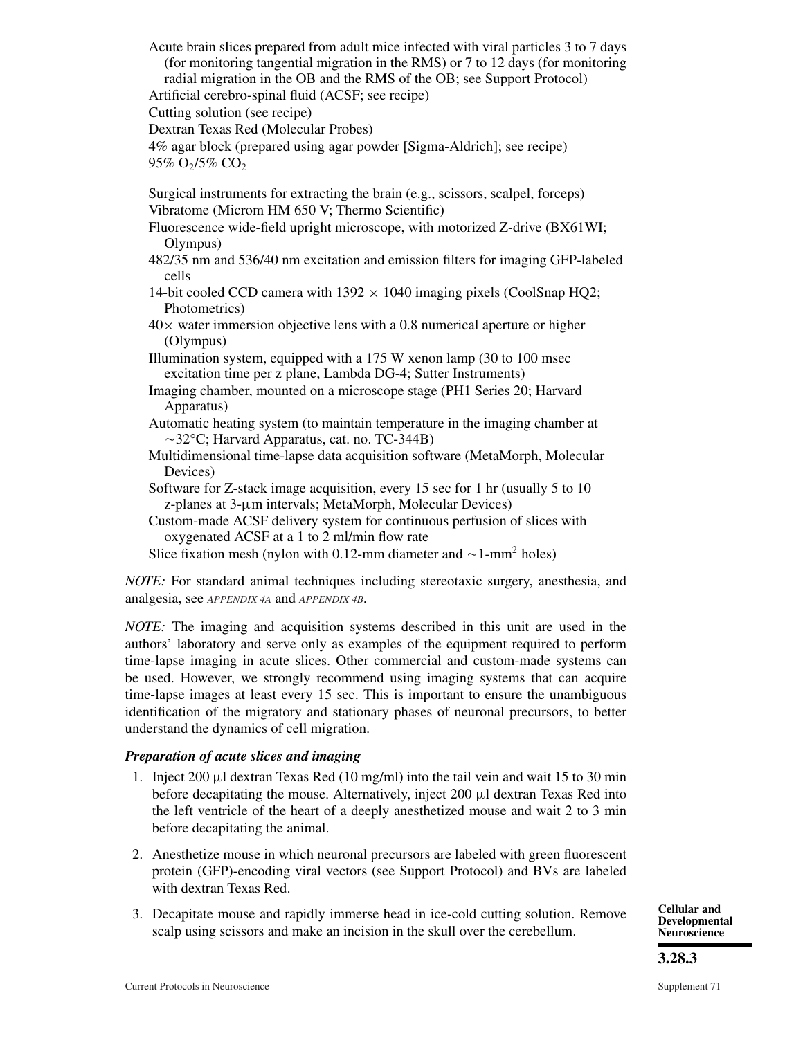Acute brain slices prepared from adult mice infected with viral particles 3 to 7 days (for monitoring tangential migration in the RMS) or 7 to 12 days (for monitoring radial migration in the OB and the RMS of the OB; see Support Protocol) Artificial cerebro-spinal fluid (ACSF; see recipe) Cutting solution (see recipe) Dextran Texas Red (Molecular Probes) 4% agar block (prepared using agar powder [Sigma-Aldrich]; see recipe)  $95\%$  O<sub>2</sub>/5% CO<sub>2</sub> Surgical instruments for extracting the brain (e.g., scissors, scalpel, forceps) Vibratome (Microm HM 650 V; Thermo Scientific) Fluorescence wide-field upright microscope, with motorized Z-drive (BX61WI; Olympus) 482/35 nm and 536/40 nm excitation and emission filters for imaging GFP-labeled cells 14-bit cooled CCD camera with  $1392 \times 1040$  imaging pixels (CoolSnap HQ2; Photometrics)  $40\times$  water immersion objective lens with a 0.8 numerical aperture or higher (Olympus) Illumination system, equipped with a 175 W xenon lamp (30 to 100 msec excitation time per z plane, Lambda DG-4; Sutter Instruments) Imaging chamber, mounted on a microscope stage (PH1 Series 20; Harvard Apparatus) Automatic heating system (to maintain temperature in the imaging chamber at -32°C; Harvard Apparatus, cat. no. TC-344B) Multidimensional time-lapse data acquisition software (MetaMorph, Molecular Devices) Software for Z-stack image acquisition, every 15 sec for 1 hr (usually 5 to 10 z-planes at 3-μm intervals; MetaMorph, Molecular Devices) Custom-made ACSF delivery system for continuous perfusion of slices with oxygenated ACSF at a 1 to 2 ml/min flow rate Slice fixation mesh (nylon with 0.12-mm diameter and  $\sim$  1-mm<sup>2</sup> holes)

*NOTE:* For standard animal techniques including stereotaxic surgery, anesthesia, and analgesia, see *APPENDIX 4A* and *APPENDIX 4B*.

*NOTE:* The imaging and acquisition systems described in this unit are used in the authors' laboratory and serve only as examples of the equipment required to perform time-lapse imaging in acute slices. Other commercial and custom-made systems can be used. However, we strongly recommend using imaging systems that can acquire time-lapse images at least every 15 sec. This is important to ensure the unambiguous identification of the migratory and stationary phases of neuronal precursors, to better understand the dynamics of cell migration.

## *Preparation of acute slices and imaging*

- 1. Inject 200  $\mu$ l dextran Texas Red (10 mg/ml) into the tail vein and wait 15 to 30 min before decapitating the mouse. Alternatively, inject  $200 \mu l$  dextran Texas Red into the left ventricle of the heart of a deeply anesthetized mouse and wait 2 to 3 min before decapitating the animal.
- 2. Anesthetize mouse in which neuronal precursors are labeled with green fluorescent protein (GFP)-encoding viral vectors (see Support Protocol) and BVs are labeled with dextran Texas Red.
- 3. Decapitate mouse and rapidly immerse head in ice-cold cutting solution. Remove scalp using scissors and make an incision in the skull over the cerebellum.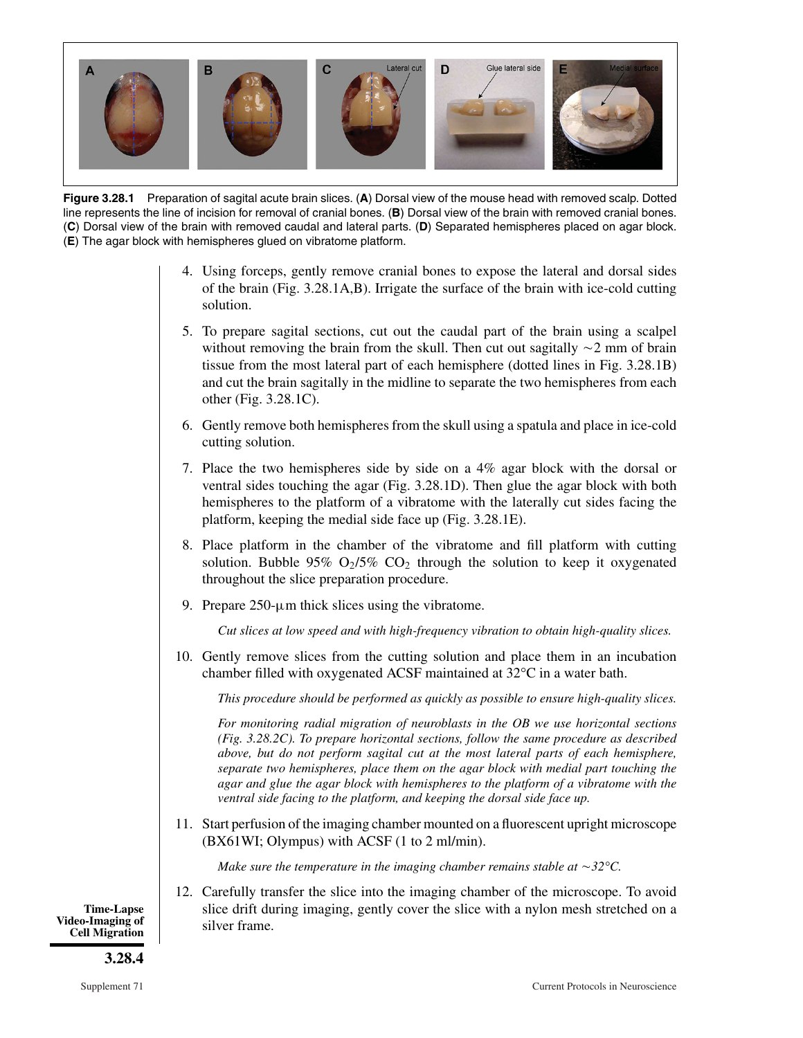

**Figure 3.28.1** Preparation of sagital acute brain slices. (**A**) Dorsal view of the mouse head with removed scalp. Dotted line represents the line of incision for removal of cranial bones. (**B**) Dorsal view of the brain with removed cranial bones. (**C**) Dorsal view of the brain with removed caudal and lateral parts. (**D**) Separated hemispheres placed on agar block. (**E**) The agar block with hemispheres glued on vibratome platform.

- 4. Using forceps, gently remove cranial bones to expose the lateral and dorsal sides of the brain (Fig. 3.28.1A,B). Irrigate the surface of the brain with ice-cold cutting solution.
- 5. To prepare sagital sections, cut out the caudal part of the brain using a scalpel without removing the brain from the skull. Then cut out sagitally  $\sim$ 2 mm of brain tissue from the most lateral part of each hemisphere (dotted lines in Fig. 3.28.1B) and cut the brain sagitally in the midline to separate the two hemispheres from each other (Fig. 3.28.1C).
- 6. Gently remove both hemispheres from the skull using a spatula and place in ice-cold cutting solution.
- 7. Place the two hemispheres side by side on a 4% agar block with the dorsal or ventral sides touching the agar (Fig. 3.28.1D). Then glue the agar block with both hemispheres to the platform of a vibratome with the laterally cut sides facing the platform, keeping the medial side face up (Fig. 3.28.1E).
- 8. Place platform in the chamber of the vibratome and fill platform with cutting solution. Bubble 95%  $O_2/5\%$  CO<sub>2</sub> through the solution to keep it oxygenated throughout the slice preparation procedure.
- 9. Prepare  $250$ - $\mu$ m thick slices using the vibratome.

*Cut slices at low speed and with high-frequency vibration to obtain high-quality slices.*

10. Gently remove slices from the cutting solution and place them in an incubation chamber filled with oxygenated ACSF maintained at 32°C in a water bath.

*This procedure should be performed as quickly as possible to ensure high-quality slices.*

*For monitoring radial migration of neuroblasts in the OB we use horizontal sections (Fig. 3.28.2C). To prepare horizontal sections, follow the same procedure as described above, but do not perform sagital cut at the most lateral parts of each hemisphere, separate two hemispheres, place them on the agar block with medial part touching the agar and glue the agar block with hemispheres to the platform of a vibratome with the ventral side facing to the platform, and keeping the dorsal side face up.*

11. Start perfusion of the imaging chamber mounted on a fluorescent upright microscope (BX61WI; Olympus) with ACSF (1 to 2 ml/min).

*Make sure the temperature in the imaging chamber remains stable at*  $\sim$  32 $\degree$ C.

12. Carefully transfer the slice into the imaging chamber of the microscope. To avoid slice drift during imaging, gently cover the slice with a nylon mesh stretched on a silver frame.

**Time-Lapse Video-Imaging of Cell Migration**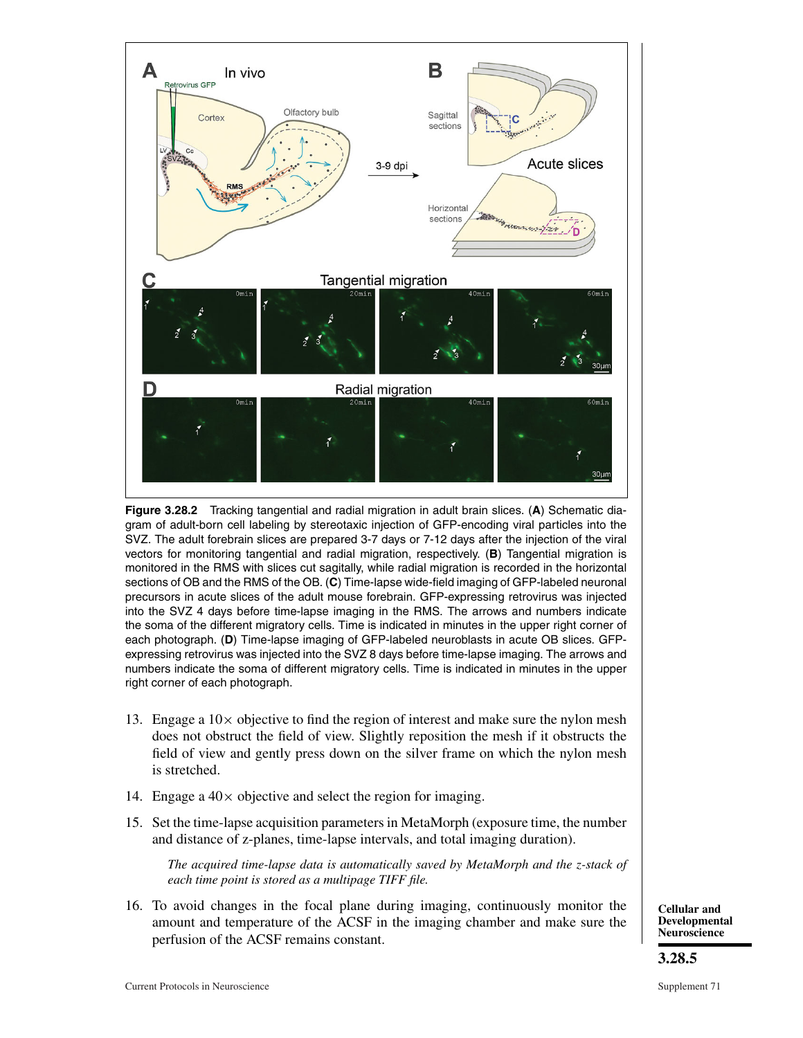

**Figure 3.28.2** Tracking tangential and radial migration in adult brain slices. (**A**) Schematic diagram of adult-born cell labeling by stereotaxic injection of GFP-encoding viral particles into the SVZ. The adult forebrain slices are prepared 3-7 days or 7-12 days after the injection of the viral vectors for monitoring tangential and radial migration, respectively. (**B**) Tangential migration is monitored in the RMS with slices cut sagitally, while radial migration is recorded in the horizontal sections of OB and the RMS of the OB. (**C**) Time-lapse wide-field imaging of GFP-labeled neuronal precursors in acute slices of the adult mouse forebrain. GFP-expressing retrovirus was injected into the SVZ 4 days before time-lapse imaging in the RMS. The arrows and numbers indicate the soma of the different migratory cells. Time is indicated in minutes in the upper right corner of each photograph. (**D**) Time-lapse imaging of GFP-labeled neuroblasts in acute OB slices. GFPexpressing retrovirus was injected into the SVZ 8 days before time-lapse imaging. The arrows and numbers indicate the soma of different migratory cells. Time is indicated in minutes in the upper right corner of each photograph.

- 13. Engage a  $10\times$  objective to find the region of interest and make sure the nylon mesh does not obstruct the field of view. Slightly reposition the mesh if it obstructs the field of view and gently press down on the silver frame on which the nylon mesh is stretched.
- 14. Engage a  $40 \times$  objective and select the region for imaging.
- 15. Set the time-lapse acquisition parameters in MetaMorph (exposure time, the number and distance of z-planes, time-lapse intervals, and total imaging duration).

*The acquired time-lapse data is automatically saved by MetaMorph and the z-stack of each time point is stored as a multipage TIFF file.*

16. To avoid changes in the focal plane during imaging, continuously monitor the amount and temperature of the ACSF in the imaging chamber and make sure the perfusion of the ACSF remains constant.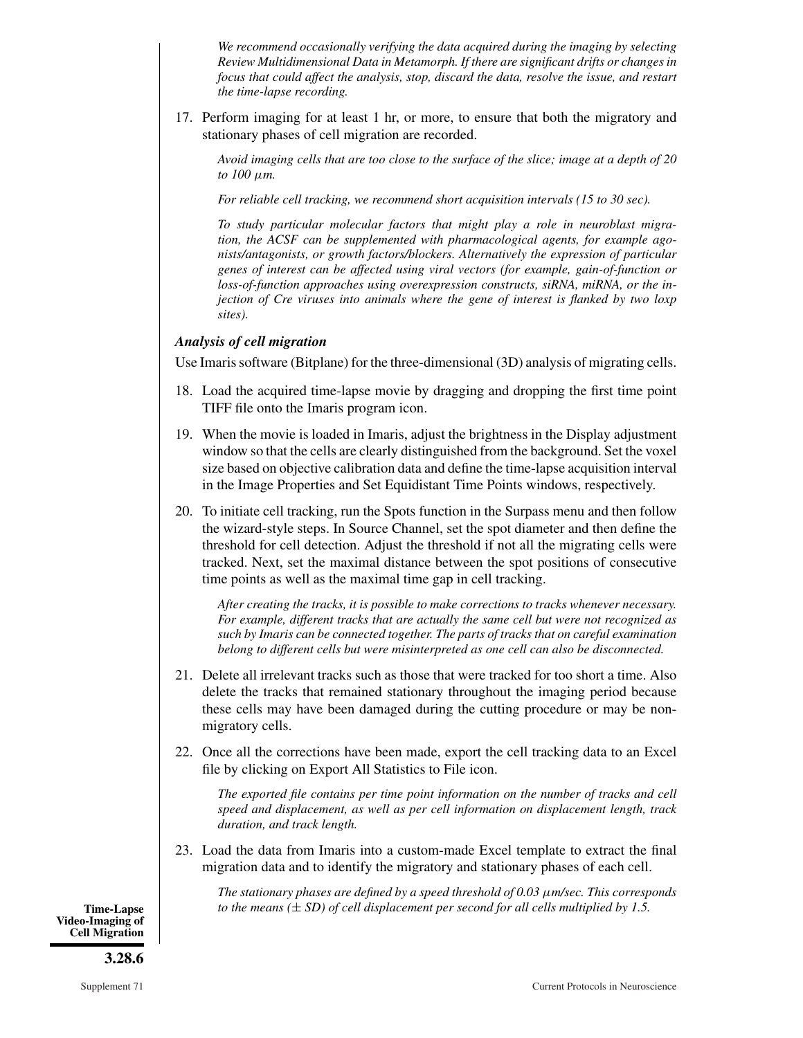*We recommend occasionally verifying the data acquired during the imaging by selecting Review Multidimensional Data in Metamorph. If there are significant drifts or changes in focus that could affect the analysis, stop, discard the data, resolve the issue, and restart the time-lapse recording.*

17. Perform imaging for at least 1 hr, or more, to ensure that both the migratory and stationary phases of cell migration are recorded.

*Avoid imaging cells that are too close to the surface of the slice; image at a depth of 20 to 100* μ*m.*

*For reliable cell tracking, we recommend short acquisition intervals (15 to 30 sec).*

*To study particular molecular factors that might play a role in neuroblast migration, the ACSF can be supplemented with pharmacological agents, for example agonists/antagonists, or growth factors/blockers. Alternatively the expression of particular genes of interest can be affected using viral vectors (for example, gain-of-function or loss-of-function approaches using overexpression constructs, siRNA, miRNA, or the injection of Cre viruses into animals where the gene of interest is flanked by two loxp sites).*

## *Analysis of cell migration*

Use Imaris software (Bitplane) for the three-dimensional (3D) analysis of migrating cells.

- 18. Load the acquired time-lapse movie by dragging and dropping the first time point TIFF file onto the Imaris program icon.
- 19. When the movie is loaded in Imaris, adjust the brightness in the Display adjustment window so that the cells are clearly distinguished from the background. Set the voxel size based on objective calibration data and define the time-lapse acquisition interval in the Image Properties and Set Equidistant Time Points windows, respectively.
- 20. To initiate cell tracking, run the Spots function in the Surpass menu and then follow the wizard-style steps. In Source Channel, set the spot diameter and then define the threshold for cell detection. Adjust the threshold if not all the migrating cells were tracked. Next, set the maximal distance between the spot positions of consecutive time points as well as the maximal time gap in cell tracking.

*After creating the tracks, it is possible to make corrections to tracks whenever necessary. For example, different tracks that are actually the same cell but were not recognized as such by Imaris can be connected together. The parts of tracks that on careful examination belong to different cells but were misinterpreted as one cell can also be disconnected.*

- 21. Delete all irrelevant tracks such as those that were tracked for too short a time. Also delete the tracks that remained stationary throughout the imaging period because these cells may have been damaged during the cutting procedure or may be nonmigratory cells.
- 22. Once all the corrections have been made, export the cell tracking data to an Excel file by clicking on Export All Statistics to File icon.

*The exported file contains per time point information on the number of tracks and cell speed and displacement, as well as per cell information on displacement length, track duration, and track length.*

23. Load the data from Imaris into a custom-made Excel template to extract the final migration data and to identify the migratory and stationary phases of each cell.

*The stationary phases are defined by a speed threshold of 0.03* μ*m/sec. This corresponds* **Time-Lapse** *to the means (*± *SD) of cell displacement per second for all cells multiplied by 1.5.*

**Video-Imaging of Cell Migration**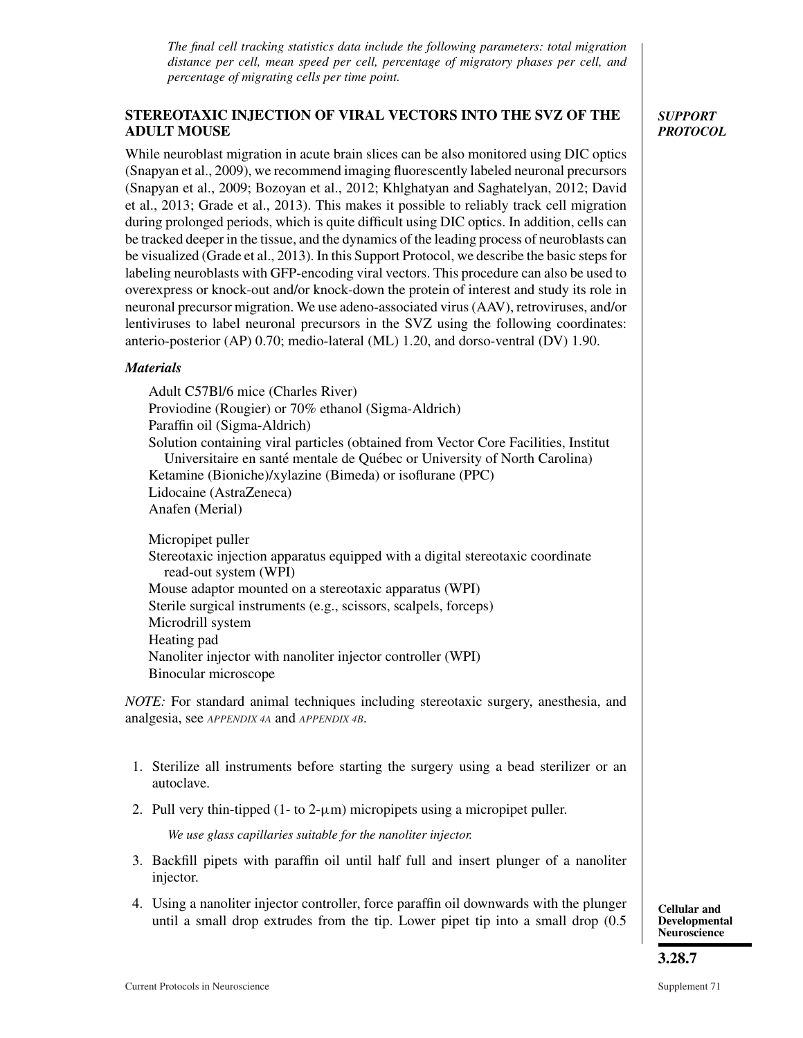*The final cell tracking statistics data include the following parameters: total migration distance per cell, mean speed per cell, percentage of migratory phases per cell, and percentage of migrating cells per time point.*

## **STEREOTAXIC INJECTION OF VIRAL VECTORS INTO THE SVZ OF THE ADULT MOUSE**

While neuroblast migration in acute brain slices can be also monitored using DIC optics (Snapyan et al., 2009), we recommend imaging fluorescently labeled neuronal precursors (Snapyan et al., 2009; Bozoyan et al., 2012; Khlghatyan and Saghatelyan, 2012; David et al., 2013; Grade et al., 2013). This makes it possible to reliably track cell migration during prolonged periods, which is quite difficult using DIC optics. In addition, cells can be tracked deeper in the tissue, and the dynamics of the leading process of neuroblasts can be visualized (Grade et al., 2013). In this Support Protocol, we describe the basic steps for labeling neuroblasts with GFP-encoding viral vectors. This procedure can also be used to overexpress or knock-out and/or knock-down the protein of interest and study its role in neuronal precursor migration. We use adeno-associated virus (AAV), retroviruses, and/or lentiviruses to label neuronal precursors in the SVZ using the following coordinates: anterio-posterior (AP) 0.70; medio-lateral (ML) 1.20, and dorso-ventral (DV) 1.90.

## *Materials*

Adult C57Bl/6 mice (Charles River) Proviodine (Rougier) or 70% ethanol (Sigma-Aldrich) Paraffin oil (Sigma-Aldrich) Solution containing viral particles (obtained from Vector Core Facilities, Institut Universitaire en santé mentale de Québec or University of North Carolina) Ketamine (Bioniche)/xylazine (Bimeda) or isoflurane (PPC) Lidocaine (AstraZeneca) Anafen (Merial)

Micropipet puller Stereotaxic injection apparatus equipped with a digital stereotaxic coordinate read-out system (WPI) Mouse adaptor mounted on a stereotaxic apparatus (WPI) Sterile surgical instruments (e.g., scissors, scalpels, forceps) Microdrill system Heating pad Nanoliter injector with nanoliter injector controller (WPI) Binocular microscope

*NOTE:* For standard animal techniques including stereotaxic surgery, anesthesia, and analgesia, see *APPENDIX 4A* and *APPENDIX 4B*.

- 1. Sterilize all instruments before starting the surgery using a bead sterilizer or an autoclave.
- 2. Pull very thin-tipped  $(1 t_0 2 \mu m)$  micropipets using a micropipet puller.

*We use glass capillaries suitable for the nanoliter injector.*

- 3. Backfill pipets with paraffin oil until half full and insert plunger of a nanoliter injector.
- 4. Using a nanoliter injector controller, force paraffin oil downwards with the plunger until a small drop extrudes from the tip. Lower pipet tip into a small drop (0.5

**Cellular and Developmental Neuroscience**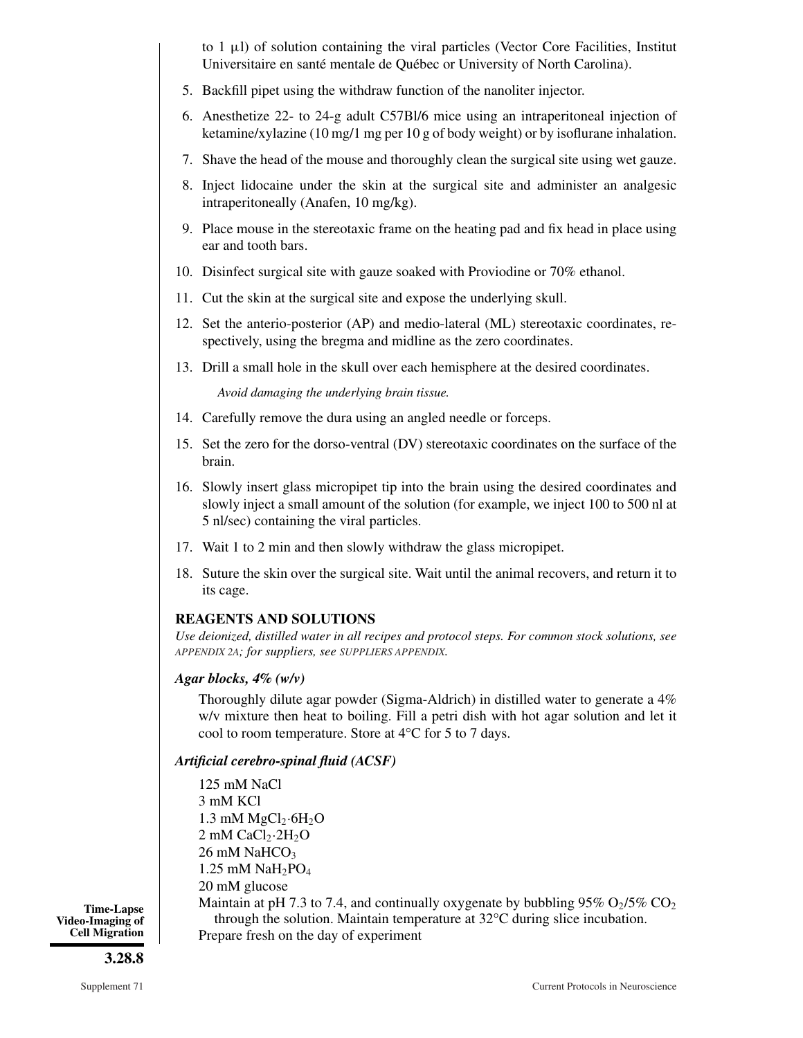to 1  $\mu$ l) of solution containing the viral particles (Vector Core Facilities, Institut Universitaire en santé mentale de Québec or University of North Carolina).

- 5. Backfill pipet using the withdraw function of the nanoliter injector.
- 6. Anesthetize 22- to 24-g adult C57Bl/6 mice using an intraperitoneal injection of ketamine/xylazine (10 mg/1 mg per 10 g of body weight) or by isoflurane inhalation.
- 7. Shave the head of the mouse and thoroughly clean the surgical site using wet gauze.
- 8. Inject lidocaine under the skin at the surgical site and administer an analgesic intraperitoneally (Anafen, 10 mg/kg).
- 9. Place mouse in the stereotaxic frame on the heating pad and fix head in place using ear and tooth bars.
- 10. Disinfect surgical site with gauze soaked with Proviodine or 70% ethanol.
- 11. Cut the skin at the surgical site and expose the underlying skull.
- 12. Set the anterio-posterior (AP) and medio-lateral (ML) stereotaxic coordinates, respectively, using the bregma and midline as the zero coordinates.
- 13. Drill a small hole in the skull over each hemisphere at the desired coordinates.

*Avoid damaging the underlying brain tissue.*

- 14. Carefully remove the dura using an angled needle or forceps.
- 15. Set the zero for the dorso-ventral (DV) stereotaxic coordinates on the surface of the brain.
- 16. Slowly insert glass micropipet tip into the brain using the desired coordinates and slowly inject a small amount of the solution (for example, we inject 100 to 500 nl at 5 nl/sec) containing the viral particles.
- 17. Wait 1 to 2 min and then slowly withdraw the glass micropipet.
- 18. Suture the skin over the surgical site. Wait until the animal recovers, and return it to its cage.

#### **REAGENTS AND SOLUTIONS**

*Use deionized, distilled water in all recipes and protocol steps. For common stock solutions, see APPENDIX 2A; for suppliers, see SUPPLIERS APPENDIX.*

## *Agar blocks, 4% (w/v)*

Thoroughly dilute agar powder (Sigma-Aldrich) in distilled water to generate a 4% w/v mixture then heat to boiling. Fill a petri dish with hot agar solution and let it cool to room temperature. Store at 4°C for 5 to 7 days.

#### *Artificial cerebro-spinal fluid (ACSF)*

```
125 mM NaCl
3 mM KCl
1.3 mM MgCl<sub>2</sub>·6H<sub>2</sub>O2 mM CaCl<sub>2</sub>\cdot2H<sub>2</sub>O
26 \text{ mM } NaHCO<sub>3</sub>
1.25 mM NaH<sub>2</sub>PO<sub>4</sub>
20 mM glucose
Maintain at pH 7.3 to 7.4, and continually oxygenate by bubbling 95\% O<sub>2</sub>/5\% CO<sub>2</sub>
   through the solution. Maintain temperature at 32°C during slice incubation.
Prepare fresh on the day of experiment
```
**Time-Lapse Video-Imaging of Cell Migration**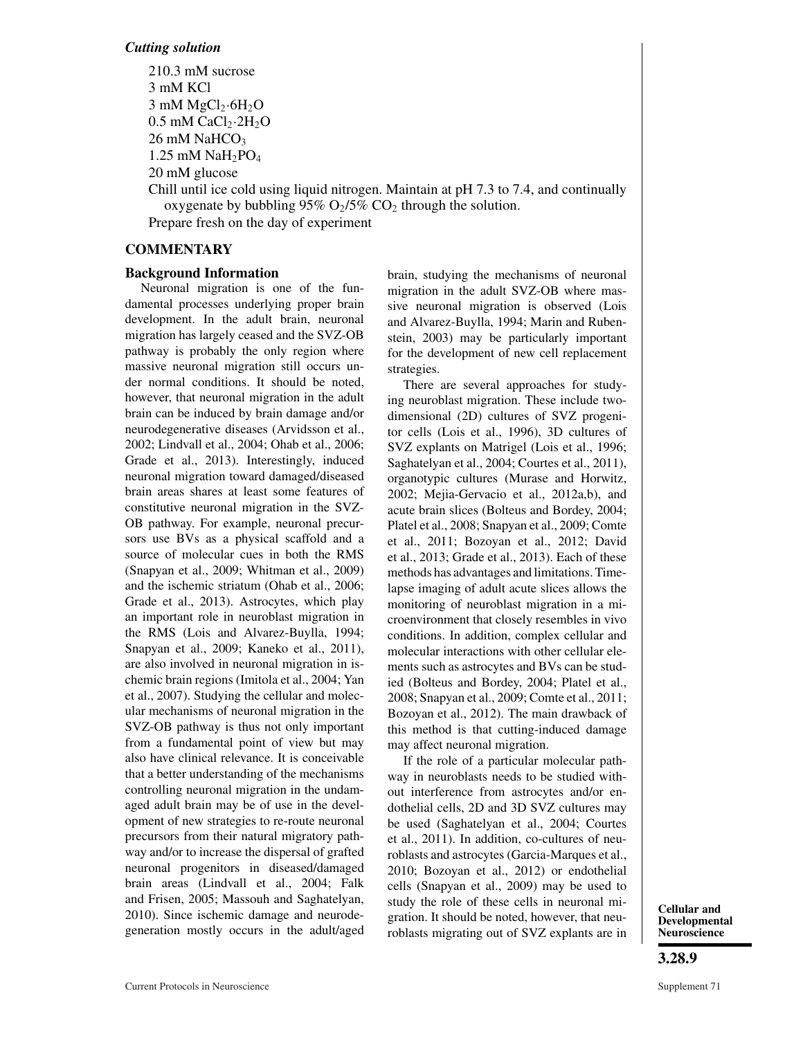210.3 mM sucrose 3 mM KCl  $3 \text{ mM MgCl}_2 \cdot 6\text{H}_2\text{O}$  $0.5$  mM CaCl<sub>2</sub> $\cdot$ 2H<sub>2</sub>O  $26 \text{ mM }$  NaHCO<sub>3</sub> 1.25 mM  $NaH_2PO_4$ 20 mM glucose

Chill until ice cold using liquid nitrogen. Maintain at pH 7.3 to 7.4, and continually oxygenate by bubbling 95%  $O_2/5\%$  CO<sub>2</sub> through the solution. Prepare fresh on the day of experiment

## **COMMENTARY**

## **Background Information**

Neuronal migration is one of the fundamental processes underlying proper brain development. In the adult brain, neuronal migration has largely ceased and the SVZ-OB pathway is probably the only region where massive neuronal migration still occurs under normal conditions. It should be noted, however, that neuronal migration in the adult brain can be induced by brain damage and/or neurodegenerative diseases (Arvidsson et al., 2002; Lindvall et al., 2004; Ohab et al., 2006; Grade et al., 2013). Interestingly, induced neuronal migration toward damaged/diseased brain areas shares at least some features of constitutive neuronal migration in the SVZ-OB pathway. For example, neuronal precursors use BVs as a physical scaffold and a source of molecular cues in both the RMS (Snapyan et al., 2009; Whitman et al., 2009) and the ischemic striatum (Ohab et al., 2006; Grade et al., 2013). Astrocytes, which play an important role in neuroblast migration in the RMS (Lois and Alvarez-Buylla, 1994; Snapyan et al., 2009; Kaneko et al., 2011), are also involved in neuronal migration in ischemic brain regions (Imitola et al., 2004; Yan et al., 2007). Studying the cellular and molecular mechanisms of neuronal migration in the SVZ-OB pathway is thus not only important from a fundamental point of view but may also have clinical relevance. It is conceivable that a better understanding of the mechanisms controlling neuronal migration in the undamaged adult brain may be of use in the development of new strategies to re-route neuronal precursors from their natural migratory pathway and/or to increase the dispersal of grafted neuronal progenitors in diseased/damaged brain areas (Lindvall et al., 2004; Falk and Frisen, 2005; Massouh and Saghatelyan, 2010). Since ischemic damage and neurodegeneration mostly occurs in the adult/aged

brain, studying the mechanisms of neuronal migration in the adult SVZ-OB where massive neuronal migration is observed (Lois and Alvarez-Buylla, 1994; Marin and Rubenstein, 2003) may be particularly important for the development of new cell replacement strategies.

There are several approaches for studying neuroblast migration. These include twodimensional (2D) cultures of SVZ progenitor cells (Lois et al., 1996), 3D cultures of SVZ explants on Matrigel (Lois et al., 1996; Saghatelyan et al., 2004; Courtes et al., 2011), organotypic cultures (Murase and Horwitz, 2002; Mejia-Gervacio et al., 2012a,b), and acute brain slices (Bolteus and Bordey, 2004; Platel et al., 2008; Snapyan et al., 2009; Comte et al., 2011; Bozoyan et al., 2012; David et al., 2013; Grade et al., 2013). Each of these methods has advantages and limitations. Timelapse imaging of adult acute slices allows the monitoring of neuroblast migration in a microenvironment that closely resembles in vivo conditions. In addition, complex cellular and molecular interactions with other cellular elements such as astrocytes and BVs can be studied (Bolteus and Bordey, 2004; Platel et al., 2008; Snapyan et al., 2009; Comte et al., 2011; Bozoyan et al., 2012). The main drawback of this method is that cutting-induced damage may affect neuronal migration.

If the role of a particular molecular pathway in neuroblasts needs to be studied without interference from astrocytes and/or endothelial cells, 2D and 3D SVZ cultures may be used (Saghatelyan et al., 2004; Courtes et al., 2011). In addition, co-cultures of neuroblasts and astrocytes (Garcia-Marques et al., 2010; Bozoyan et al., 2012) or endothelial cells (Snapyan et al., 2009) may be used to study the role of these cells in neuronal migration. It should be noted, however, that neuroblasts migrating out of SVZ explants are in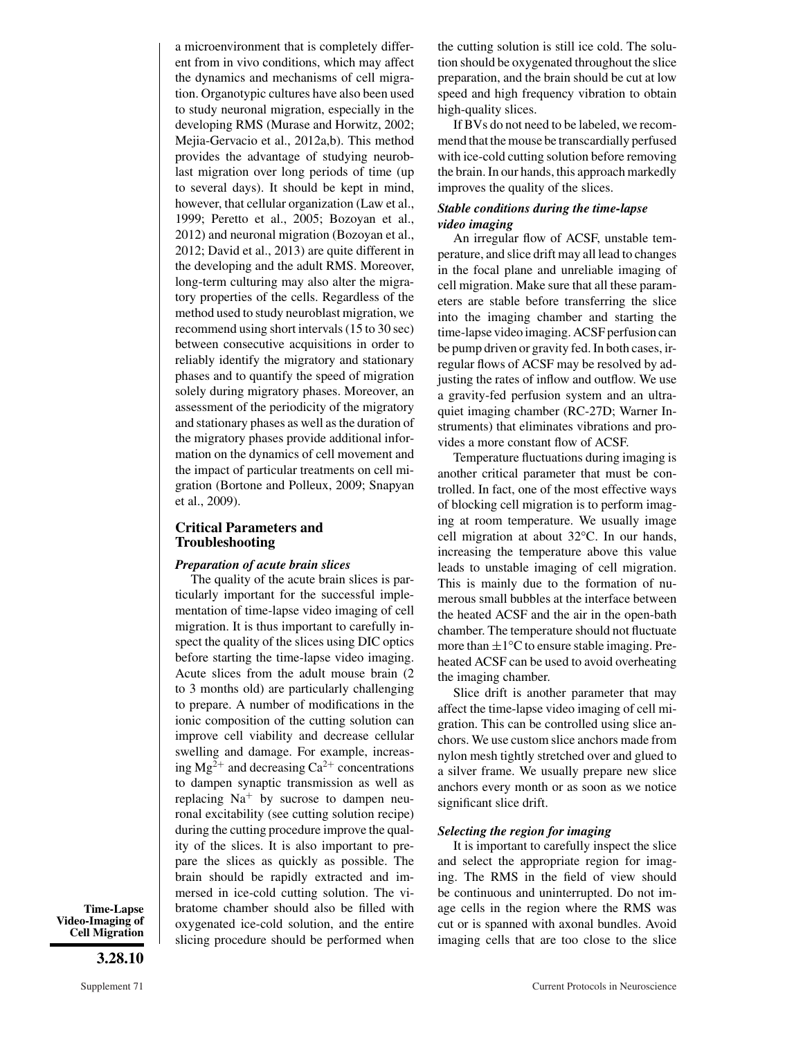a microenvironment that is completely different from in vivo conditions, which may affect the dynamics and mechanisms of cell migration. Organotypic cultures have also been used to study neuronal migration, especially in the developing RMS (Murase and Horwitz, 2002; Mejia-Gervacio et al., 2012a,b). This method provides the advantage of studying neuroblast migration over long periods of time (up to several days). It should be kept in mind, however, that cellular organization (Law et al., 1999; Peretto et al., 2005; Bozoyan et al., 2012) and neuronal migration (Bozoyan et al., 2012; David et al., 2013) are quite different in the developing and the adult RMS. Moreover, long-term culturing may also alter the migratory properties of the cells. Regardless of the method used to study neuroblast migration, we recommend using short intervals (15 to 30 sec) between consecutive acquisitions in order to reliably identify the migratory and stationary phases and to quantify the speed of migration solely during migratory phases. Moreover, an assessment of the periodicity of the migratory and stationary phases as well as the duration of the migratory phases provide additional information on the dynamics of cell movement and the impact of particular treatments on cell migration (Bortone and Polleux, 2009; Snapyan et al., 2009).

#### **Critical Parameters and Troubleshooting**

#### *Preparation of acute brain slices*

The quality of the acute brain slices is particularly important for the successful implementation of time-lapse video imaging of cell migration. It is thus important to carefully inspect the quality of the slices using DIC optics before starting the time-lapse video imaging. Acute slices from the adult mouse brain (2 to 3 months old) are particularly challenging to prepare. A number of modifications in the ionic composition of the cutting solution can improve cell viability and decrease cellular swelling and damage. For example, increasing  $Mg^{2+}$  and decreasing  $Ca^{2+}$  concentrations to dampen synaptic transmission as well as replacing  $Na<sup>+</sup>$  by sucrose to dampen neuronal excitability (see cutting solution recipe) during the cutting procedure improve the quality of the slices. It is also important to prepare the slices as quickly as possible. The brain should be rapidly extracted and immersed in ice-cold cutting solution. The vibratome chamber should also be filled with oxygenated ice-cold solution, and the entire slicing procedure should be performed when

**Time-Lapse Video-Imaging of Cell Migration**

**3.28.10**

the cutting solution is still ice cold. The solution should be oxygenated throughout the slice preparation, and the brain should be cut at low speed and high frequency vibration to obtain high-quality slices.

If BVs do not need to be labeled, we recommend that the mouse be transcardially perfused with ice-cold cutting solution before removing the brain. In our hands, this approach markedly improves the quality of the slices.

#### *Stable conditions during the time-lapse video imaging*

An irregular flow of ACSF, unstable temperature, and slice drift may all lead to changes in the focal plane and unreliable imaging of cell migration. Make sure that all these parameters are stable before transferring the slice into the imaging chamber and starting the time-lapse video imaging. ACSF perfusion can be pump driven or gravity fed. In both cases, irregular flows of ACSF may be resolved by adjusting the rates of inflow and outflow. We use a gravity-fed perfusion system and an ultraquiet imaging chamber (RC-27D; Warner Instruments) that eliminates vibrations and provides a more constant flow of ACSF.

Temperature fluctuations during imaging is another critical parameter that must be controlled. In fact, one of the most effective ways of blocking cell migration is to perform imaging at room temperature. We usually image cell migration at about 32°C. In our hands, increasing the temperature above this value leads to unstable imaging of cell migration. This is mainly due to the formation of numerous small bubbles at the interface between the heated ACSF and the air in the open-bath chamber. The temperature should not fluctuate more than  $\pm 1^{\circ}$ C to ensure stable imaging. Preheated ACSF can be used to avoid overheating the imaging chamber.

Slice drift is another parameter that may affect the time-lapse video imaging of cell migration. This can be controlled using slice anchors. We use custom slice anchors made from nylon mesh tightly stretched over and glued to a silver frame. We usually prepare new slice anchors every month or as soon as we notice significant slice drift.

#### *Selecting the region for imaging*

It is important to carefully inspect the slice and select the appropriate region for imaging. The RMS in the field of view should be continuous and uninterrupted. Do not image cells in the region where the RMS was cut or is spanned with axonal bundles. Avoid imaging cells that are too close to the slice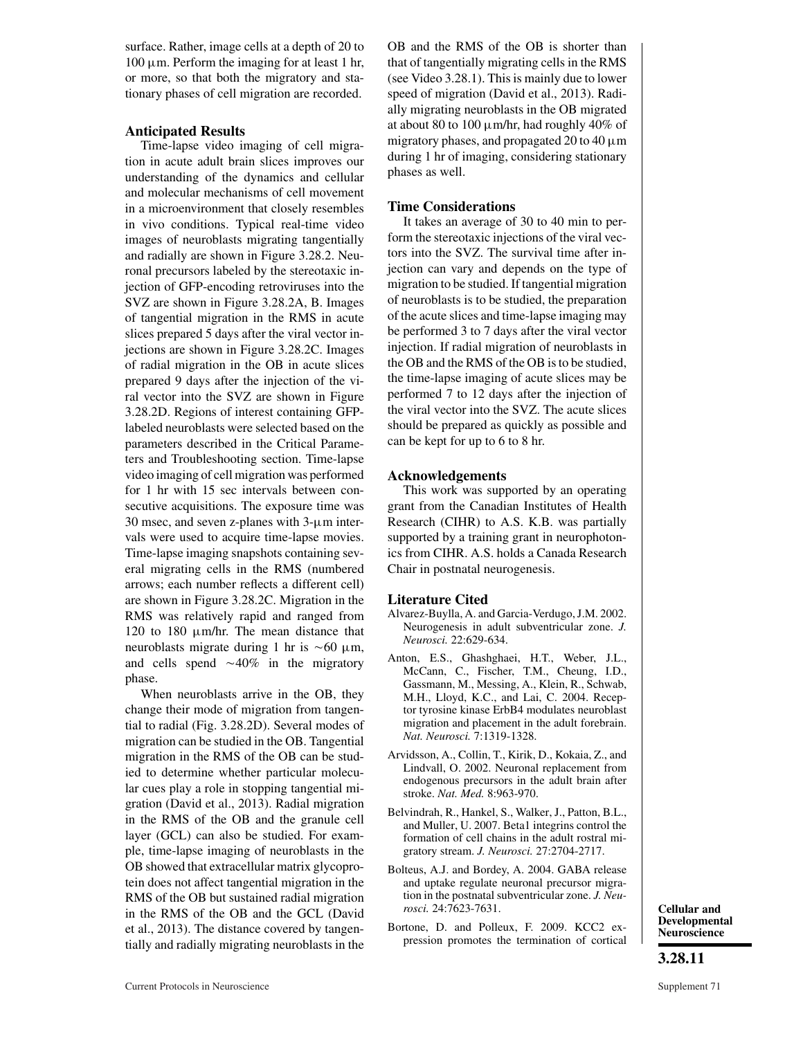surface. Rather, image cells at a depth of 20 to 100 μm. Perform the imaging for at least 1 hr, or more, so that both the migratory and stationary phases of cell migration are recorded.

#### **Anticipated Results**

Time-lapse video imaging of cell migration in acute adult brain slices improves our understanding of the dynamics and cellular and molecular mechanisms of cell movement in a microenvironment that closely resembles in vivo conditions. Typical real-time video images of neuroblasts migrating tangentially and radially are shown in Figure 3.28.2. Neuronal precursors labeled by the stereotaxic injection of GFP-encoding retroviruses into the SVZ are shown in Figure 3.28.2A, B. Images of tangential migration in the RMS in acute slices prepared 5 days after the viral vector injections are shown in Figure 3.28.2C. Images of radial migration in the OB in acute slices prepared 9 days after the injection of the viral vector into the SVZ are shown in Figure 3.28.2D. Regions of interest containing GFPlabeled neuroblasts were selected based on the parameters described in the Critical Parameters and Troubleshooting section. Time-lapse video imaging of cell migration was performed for 1 hr with 15 sec intervals between consecutive acquisitions. The exposure time was 30 msec, and seven z-planes with 3-μm intervals were used to acquire time-lapse movies. Time-lapse imaging snapshots containing several migrating cells in the RMS (numbered arrows; each number reflects a different cell) are shown in Figure 3.28.2C. Migration in the RMS was relatively rapid and ranged from 120 to 180 μm/hr. The mean distance that neuroblasts migrate during 1 hr is  $\sim 60 \mu$ m, and cells spend  $\sim$  40% in the migratory phase.

When neuroblasts arrive in the OB, they change their mode of migration from tangential to radial (Fig. 3.28.2D). Several modes of migration can be studied in the OB. Tangential migration in the RMS of the OB can be studied to determine whether particular molecular cues play a role in stopping tangential migration (David et al., 2013). Radial migration in the RMS of the OB and the granule cell layer (GCL) can also be studied. For example, time-lapse imaging of neuroblasts in the OB showed that extracellular matrix glycoprotein does not affect tangential migration in the RMS of the OB but sustained radial migration in the RMS of the OB and the GCL (David et al., 2013). The distance covered by tangentially and radially migrating neuroblasts in the OB and the RMS of the OB is shorter than that of tangentially migrating cells in the RMS (see Video 3.28.1). This is mainly due to lower speed of migration (David et al., 2013). Radially migrating neuroblasts in the OB migrated at about 80 to 100  $\mu$ m/hr, had roughly 40% of migratory phases, and propagated 20 to 40  $\mu$ m during 1 hr of imaging, considering stationary phases as well.

#### **Time Considerations**

It takes an average of 30 to 40 min to perform the stereotaxic injections of the viral vectors into the SVZ. The survival time after injection can vary and depends on the type of migration to be studied. If tangential migration of neuroblasts is to be studied, the preparation of the acute slices and time-lapse imaging may be performed 3 to 7 days after the viral vector injection. If radial migration of neuroblasts in the OB and the RMS of the OB is to be studied, the time-lapse imaging of acute slices may be performed 7 to 12 days after the injection of the viral vector into the SVZ. The acute slices should be prepared as quickly as possible and can be kept for up to 6 to 8 hr.

#### **Acknowledgements**

This work was supported by an operating grant from the Canadian Institutes of Health Research (CIHR) to A.S. K.B. was partially supported by a training grant in neurophotonics from CIHR. A.S. holds a Canada Research Chair in postnatal neurogenesis.

#### **Literature Cited**

- Alvarez-Buylla, A. and Garcia-Verdugo, J.M. 2002. Neurogenesis in adult subventricular zone. *J. Neurosci.* 22:629-634.
- Anton, E.S., Ghashghaei, H.T., Weber, J.L., McCann, C., Fischer, T.M., Cheung, I.D., Gassmann, M., Messing, A., Klein, R., Schwab, M.H., Lloyd, K.C., and Lai, C. 2004. Receptor tyrosine kinase ErbB4 modulates neuroblast migration and placement in the adult forebrain. *Nat. Neurosci.* 7:1319-1328.
- Arvidsson, A., Collin, T., Kirik, D., Kokaia, Z., and Lindvall, O. 2002. Neuronal replacement from endogenous precursors in the adult brain after stroke. *Nat. Med.* 8:963-970.
- Belvindrah, R., Hankel, S., Walker, J., Patton, B.L., and Muller, U. 2007. Beta1 integrins control the formation of cell chains in the adult rostral migratory stream. *J. Neurosci.* 27:2704-2717.
- Bolteus, A.J. and Bordey, A. 2004. GABA release and uptake regulate neuronal precursor migration in the postnatal subventricular zone. *J. Neurosci.* 24:7623-7631.
- Bortone, D. and Polleux, F. 2009. KCC2 expression promotes the termination of cortical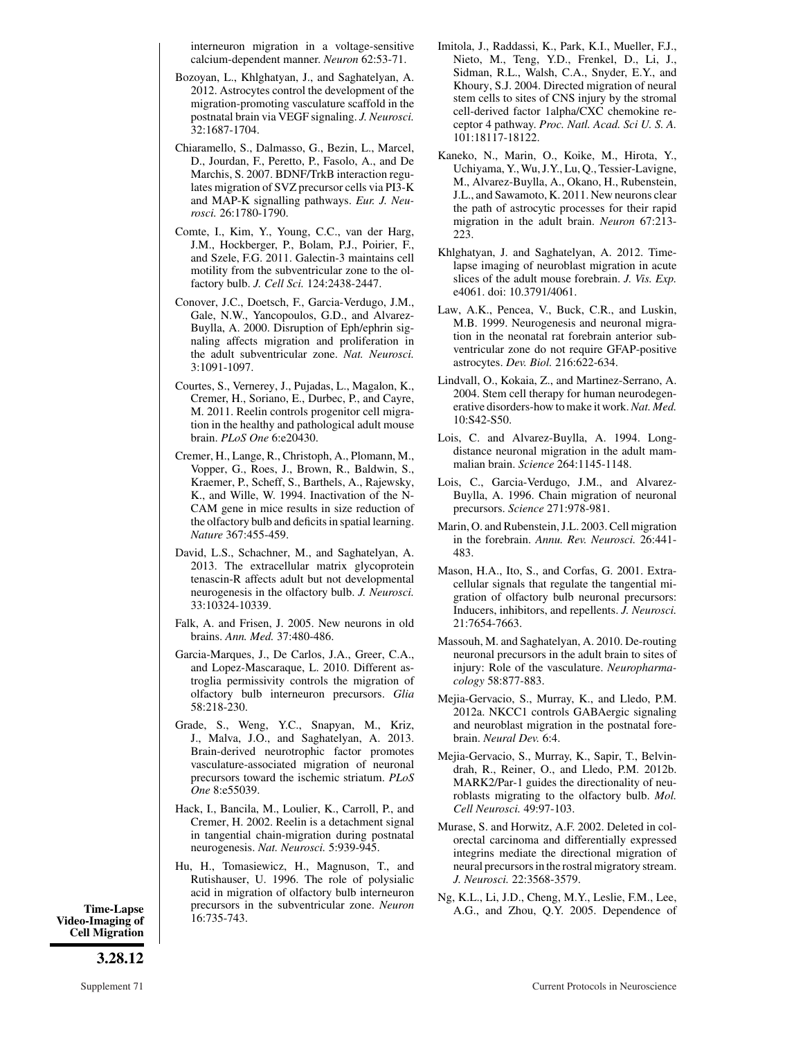interneuron migration in a voltage-sensitive calcium-dependent manner. *Neuron* 62:53-71.

- Bozoyan, L., Khlghatyan, J., and Saghatelyan, A. 2012. Astrocytes control the development of the migration-promoting vasculature scaffold in the postnatal brain via VEGF signaling. *J. Neurosci.* 32:1687-1704.
- Chiaramello, S., Dalmasso, G., Bezin, L., Marcel, D., Jourdan, F., Peretto, P., Fasolo, A., and De Marchis, S. 2007. BDNF/TrkB interaction regulates migration of SVZ precursor cells via PI3-K and MAP-K signalling pathways. *Eur. J. Neurosci.* 26:1780-1790.
- Comte, I., Kim, Y., Young, C.C., van der Harg, J.M., Hockberger, P., Bolam, P.J., Poirier, F., and Szele, F.G. 2011. Galectin-3 maintains cell motility from the subventricular zone to the olfactory bulb. *J. Cell Sci.* 124:2438-2447.
- Conover, J.C., Doetsch, F., Garcia-Verdugo, J.M., Gale, N.W., Yancopoulos, G.D., and Alvarez-Buylla, A. 2000. Disruption of Eph/ephrin signaling affects migration and proliferation in the adult subventricular zone. *Nat. Neurosci.* 3:1091-1097.
- Courtes, S., Vernerey, J., Pujadas, L., Magalon, K., Cremer, H., Soriano, E., Durbec, P., and Cayre, M. 2011. Reelin controls progenitor cell migration in the healthy and pathological adult mouse brain. *PLoS One* 6:e20430.
- Cremer, H., Lange, R., Christoph, A., Plomann, M., Vopper, G., Roes, J., Brown, R., Baldwin, S., Kraemer, P., Scheff, S., Barthels, A., Rajewsky, K., and Wille, W. 1994. Inactivation of the N-CAM gene in mice results in size reduction of the olfactory bulb and deficits in spatial learning. *Nature* 367:455-459.
- David, L.S., Schachner, M., and Saghatelyan, A. 2013. The extracellular matrix glycoprotein tenascin-R affects adult but not developmental neurogenesis in the olfactory bulb. *J. Neurosci.* 33:10324-10339.
- Falk, A. and Frisen, J. 2005. New neurons in old brains. *Ann. Med.* 37:480-486.
- Garcia-Marques, J., De Carlos, J.A., Greer, C.A., and Lopez-Mascaraque, L. 2010. Different astroglia permissivity controls the migration of olfactory bulb interneuron precursors. *Glia* 58:218-230.
- Grade, S., Weng, Y.C., Snapyan, M., Kriz, J., Malva, J.O., and Saghatelyan, A. 2013. Brain-derived neurotrophic factor promotes vasculature-associated migration of neuronal precursors toward the ischemic striatum. *PLoS One* 8:e55039.
- Hack, I., Bancila, M., Loulier, K., Carroll, P., and Cremer, H. 2002. Reelin is a detachment signal in tangential chain-migration during postnatal neurogenesis. *Nat. Neurosci.* 5:939-945.
- Hu, H., Tomasiewicz, H., Magnuson, T., and Rutishauser, U. 1996. The role of polysialic acid in migration of olfactory bulb interneuron precursors in the subventricular zone. *Neuron* 16:735-743. **Time-Lapse** Precursors in the subventricular zone. *Neuron* A.G., and Zhou, Q.Y. 2005. Dependence of **Video-Imaging of** 16:735-743.
- Imitola, J., Raddassi, K., Park, K.I., Mueller, F.J., Nieto, M., Teng, Y.D., Frenkel, D., Li, J., Sidman, R.L., Walsh, C.A., Snyder, E.Y., and Khoury, S.J. 2004. Directed migration of neural stem cells to sites of CNS injury by the stromal cell-derived factor 1alpha/CXC chemokine receptor 4 pathway. *Proc. Natl. Acad. Sci U. S. A.* 101:18117-18122.
- Kaneko, N., Marin, O., Koike, M., Hirota, Y., Uchiyama, Y., Wu, J.Y., Lu, Q., Tessier-Lavigne, M., Alvarez-Buylla, A., Okano, H., Rubenstein, J.L., and Sawamoto, K. 2011. New neurons clear the path of astrocytic processes for their rapid migration in the adult brain. *Neuron* 67:213- 223.
- Khlghatyan, J. and Saghatelyan, A. 2012. Timelapse imaging of neuroblast migration in acute slices of the adult mouse forebrain. *J. Vis. Exp.* e4061. doi: 10.3791/4061.
- Law, A.K., Pencea, V., Buck, C.R., and Luskin, M.B. 1999. Neurogenesis and neuronal migration in the neonatal rat forebrain anterior subventricular zone do not require GFAP-positive astrocytes. *Dev. Biol.* 216:622-634.
- Lindvall, O., Kokaia, Z., and Martinez-Serrano, A. 2004. Stem cell therapy for human neurodegenerative disorders-how to make it work.*Nat. Med.* 10:S42-S50.
- Lois, C. and Alvarez-Buylla, A. 1994. Longdistance neuronal migration in the adult mammalian brain. *Science* 264:1145-1148.
- Lois, C., Garcia-Verdugo, J.M., and Alvarez-Buylla, A. 1996. Chain migration of neuronal precursors. *Science* 271:978-981.
- Marin, O. and Rubenstein, J.L. 2003. Cell migration in the forebrain. *Annu. Rev. Neurosci.* 26:441- 483.
- Mason, H.A., Ito, S., and Corfas, G. 2001. Extracellular signals that regulate the tangential migration of olfactory bulb neuronal precursors: Inducers, inhibitors, and repellents. *J. Neurosci.* 21:7654-7663.
- Massouh, M. and Saghatelyan, A. 2010. De-routing neuronal precursors in the adult brain to sites of injury: Role of the vasculature. *Neuropharmacology* 58:877-883.
- Mejia-Gervacio, S., Murray, K., and Lledo, P.M. 2012a. NKCC1 controls GABAergic signaling and neuroblast migration in the postnatal forebrain. *Neural Dev.* 6:4.
- Mejia-Gervacio, S., Murray, K., Sapir, T., Belvindrah, R., Reiner, O., and Lledo, P.M. 2012b. MARK2/Par-1 guides the directionality of neuroblasts migrating to the olfactory bulb. *Mol. Cell Neurosci.* 49:97-103.
- Murase, S. and Horwitz, A.F. 2002. Deleted in colorectal carcinoma and differentially expressed integrins mediate the directional migration of neural precursors in the rostral migratory stream. *J. Neurosci.* 22:3568-3579.
- Ng, K.L., Li, J.D., Cheng, M.Y., Leslie, F.M., Lee,

**Cell Migration**